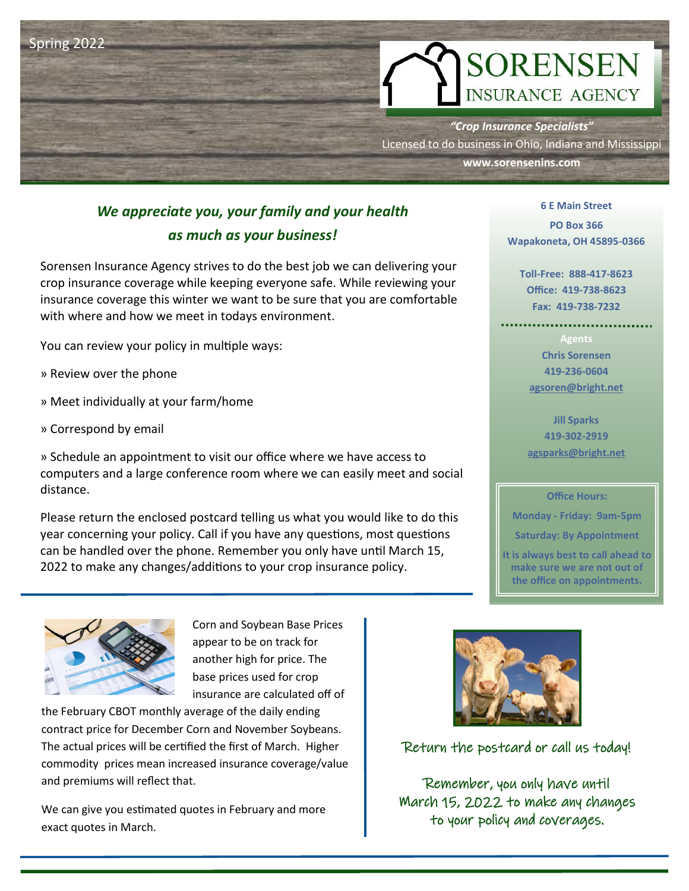

# *We appreciate you, your family and your health as much as your business!*

Sorensen Insurance Agency strives to do the best job we can delivering your crop insurance coverage while keeping everyone safe. While reviewing your insurance coverage this winter we want to be sure that you are comfortable with where and how we meet in todays environment.

You can review your policy in multiple ways:

- » Review over the phone
- » Meet individually at your farm/home
- » Correspond by email

» Schedule an appointment to visit our office where we have access to computers and a large conference room where we can easily meet and social distance.

Please return the enclosed postcard telling us what you would like to do this year concerning your policy. Call if you have any questions, most questions can be handled over the phone. Remember you only have until March 15, 2022 to make any changes/additions to your crop insurance policy.

> Corn and Soybean Base Prices appear to be on track for another high for price. The base prices used for crop insurance are calculated off of

the February CBOT monthly average of the daily ending contract price for December Corn and November Soybeans. The actual prices will be certified the first of March. Higher commodity prices mean increased insurance coverage/value and premiums will reflect that.

We can give you estimated quotes in February and more exact quotes in March.

Return the postcard or call us today!

Remember, you only have until March 15, 2022 to make any changes to your policy and coverages.

**6 E Main Street PO Box 366 Wapakoneta, OH 45895-0366**

**Toll-Free: 888-417-8623 Office: 419-738-8623 Fax: 419-738-7232**

**Agents Chris Sorensen 419-236-0604 agsoren@bright.net**

**Jill Sparks 419-302-2919 agsparks@bright.net**

#### **Office Hours:**

**Monday - Friday: 9am-5pm**

**Saturday: By Appointment**

**It is always best to call ahead to make sure we are not out of the office on appointments.**

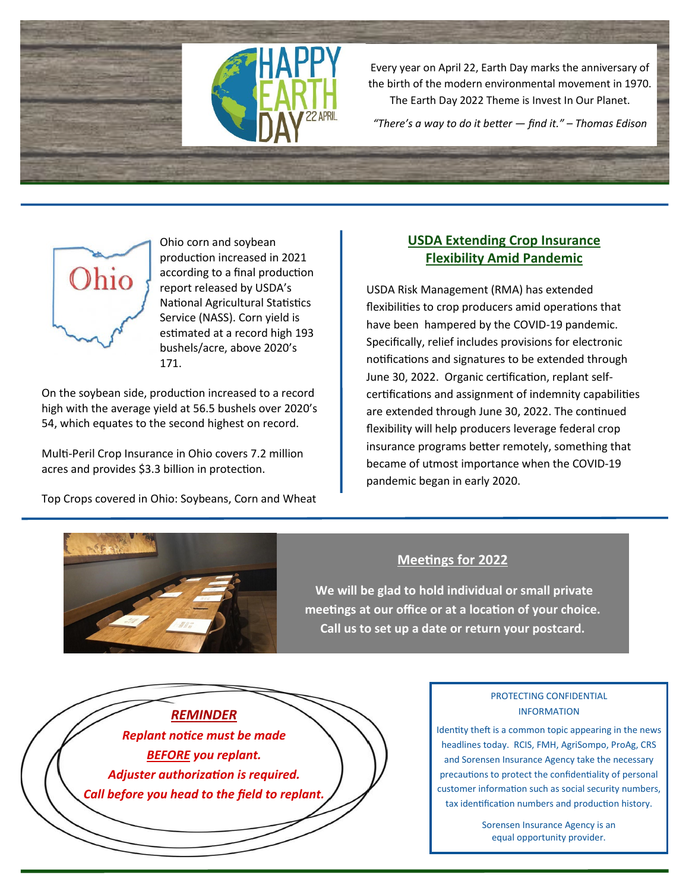

Every year on April 22, Earth Day marks the anniversary of the birth of the modern environmental movement in 1970. The Earth Day 2022 Theme is Invest In Our Planet.

*"There's a way to do it better — find it." – Thomas Edison* 



Ohio corn and soybean production increased in 2021 according to a final production report released by USDA's National Agricultural Statistics Service (NASS). Corn yield is estimated at a record high 193 bushels/acre, above 2020's 171.

On the soybean side, production increased to a record high with the average yield at 56.5 bushels over 2020's 54, which equates to the second highest on record.

Multi-Peril Crop Insurance in Ohio covers 7.2 million acres and provides \$3.3 billion in protection.

Top Crops covered in Ohio: Soybeans, Corn and Wheat

# **USDA Extending Crop Insurance Flexibility Amid Pandemic**

USDA Risk Management (RMA) has extended flexibilities to crop producers amid operations that have been hampered by the COVID-19 pandemic. Specifically, relief includes provisions for electronic notifications and signatures to be extended through June 30, 2022. Organic certification, replant selfcertifications and assignment of indemnity capabilities are extended through June 30, 2022. The continued flexibility will help producers leverage federal crop insurance programs better remotely, something that became of utmost importance when the COVID-19 pandemic began in early 2020.



# **Meetings for 2022**

**We will be glad to hold individual or small private meetings at our office or at a location of your choice. Call us to set up a date or return your postcard.** 

*REMINDER Replant notice must be made BEFORE you replant. Adjuster authorization is required. Call before you head to the field to replant.*

# PROTECTING CONFIDENTIAL INFORMATION

Identity theft is a common topic appearing in the news headlines today. RCIS, FMH, AgriSompo, ProAg, CRS and Sorensen Insurance Agency take the necessary precautions to protect the confidentiality of personal customer information such as social security numbers, tax identification numbers and production history.

> Sorensen Insurance Agency is an equal opportunity provider.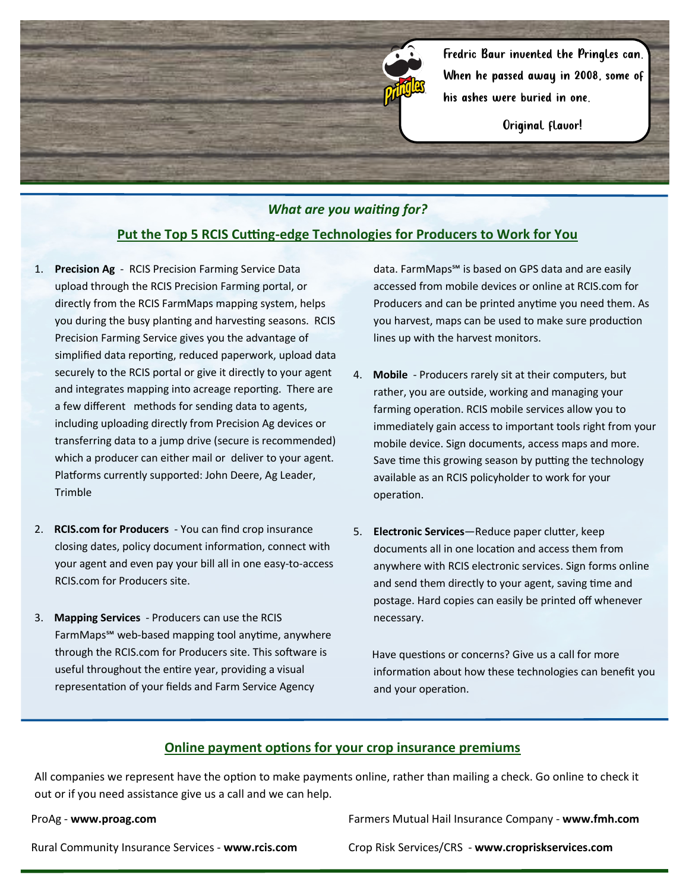

Original flavor!

### *What are you waiting for?*

## **Put the Top 5 RCIS Cutting‐edge Technologies for Producers to Work for You**

- 1. **Precision Ag**  RCIS Precision Farming Service Data upload through the RCIS Precision Farming portal, or directly from the RCIS FarmMaps mapping system, helps you during the busy planting and harvesting seasons. RCIS Precision Farming Service gives you the advantage of simplified data reporting, reduced paperwork, upload data securely to the RCIS portal or give it directly to your agent and integrates mapping into acreage reporting. There are a few different methods for sending data to agents, including uploading directly from Precision Ag devices or transferring data to a jump drive (secure is recommended) which a producer can either mail or deliver to your agent. Platforms currently supported: John Deere, Ag Leader, Trimble
- 2. **RCIS.com for Producers**  You can find crop insurance closing dates, policy document information, connect with your agent and even pay your bill all in one easy-to-access RCIS.com for Producers site.
- 3. **Mapping Services**  Producers can use the RCIS FarmMaps℠ web-based mapping tool anytime, anywhere through the RCIS.com for Producers site. This software is useful throughout the entire year, providing a visual representation of your fields and Farm Service Agency

data. FarmMaps℠ is based on GPS data and are easily accessed from mobile devices or online at RCIS.com for Producers and can be printed anytime you need them. As you harvest, maps can be used to make sure production lines up with the harvest monitors.

- 4. **Mobile** Producers rarely sit at their computers, but rather, you are outside, working and managing your farming operation. RCIS mobile services allow you to immediately gain access to important tools right from your mobile device. Sign documents, access maps and more. Save time this growing season by putting the technology available as an RCIS policyholder to work for your operation.
- 5. **Electronic Services**—Reduce paper clutter, keep documents all in one location and access them from anywhere with RCIS electronic services. Sign forms online and send them directly to your agent, saving time and postage. Hard copies can easily be printed off whenever necessary.

 Have questions or concerns? Give us a call for more information about how these technologies can benefit you and your operation.

#### **Online payment options for your crop insurance premiums**

All companies we represent have the option to make payments online, rather than mailing a check. Go online to check it out or if you need assistance give us a call and we can help.

ProAg - **www.proag.com**

Farmers Mutual Hail Insurance Company - **www.fmh.com**

Rural Community Insurance Services - **www.rcis.com** 

Crop Risk Services/CRS - **www.cropriskservices.com**